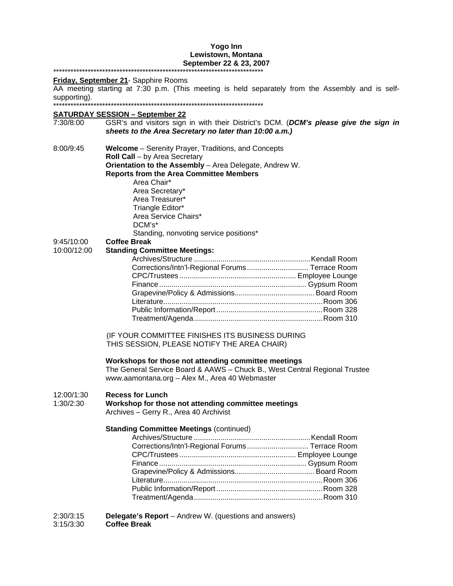#### **Yogo Inn Lewistown, Montana September 22 & 23, 2007**  \*\*\*\*\*\*\*\*\*\*\*\*\*\*\*\*\*\*\*\*\*\*\*\*\*\*\*\*\*\*\*\*\*\*\*\*\*\*\*\*\*\*\*\*\*\*\*\*\*\*\*\*\*\*\*\*\*\*\*\*\*\*\*\*\*\*\*\*\*\*\*\*\*

#### **Friday, September 21**- Sapphire Rooms

AA meeting starting at 7:30 p.m. (This meeting is held separately from the Assembly and is selfsupporting).

\*\*\*\*\*\*\*\*\*\*\*\*\*\*\*\*\*\*\*\*\*\*\*\*\*\*\*\*\*\*\*\*\*\*\*\*\*\*\*\*\*\*\*\*\*\*\*\*\*\*\*\*\*\*\*\*\*\*\*\*\*\*\*\*\*\*\*\*\*\*\*\*\*

## **SATURDAY SESSION – September 22**

- 7:30/8:00 GSR's and visitors sign in with their District's DCM. (*DCM's please give the sign in sheets to the Area Secretary no later than 10:00 a.m.)* 8:00/9:45 **Welcome** – Serenity Prayer, Traditions, and Concepts **Roll Call** – by Area Secretary **Orientation to the Assembly** – Area Delegate, Andrew W. **Reports from the Area Committee Members** Area Chair\* Area Secretary\* Area Treasurer\* Triangle Editor\* Area Service Chairs\* DCM's\* Standing, nonvoting service positions\* 9:45/10:00 **Coffee Break** 10:00/12:00 **Standing Committee Meetings:** Archives/Structure .........................................................Kendall Room Corrections/Intn'l-Regional Forums.............................. Terrace Room CPC/Trustees ......................................................... Employee Lounge Finance........................................................................ Gypsum Room Grapevine/Policy & Admissions....................................... Board Room Literature..............................................................................Room 306 Public Information/Report....................................................Room 328 Treatment/Agenda...............................................................Room 310 (IF YOUR COMMITTEE FINISHES ITS BUSINESS DURING THIS SESSION, PLEASE NOTIFY THE AREA CHAIR) **Workshops for those not attending committee meetings**  The General Service Board & AAWS – Chuck B., West Central Regional Trustee www.aamontana.org – Alex M., Area 40 Webmaster 12:00/1:30 **Recess for Lunch** 1:30/2:30 **Workshop for those not attending committee meetings**  Archives – Gerry R., Area 40 Archivist **Standing Committee Meetings (continued)** Archives/Structure .........................................................Kendall Room Corrections/Intn'l-Regional Forums.............................. Terrace Room CPC/Trustees ......................................................... Employee Lounge Finance........................................................................ Gypsum Room Grapevine/Policy & Admissions....................................... Board Room Literature..............................................................................Room 306 Public Information/Report....................................................Room 328 Treatment/Agenda...............................................................Room 310 2:30/3:15 **Delegate's Report** – Andrew W. (questions and answers)
- 3:15/3:30 **Coffee Break**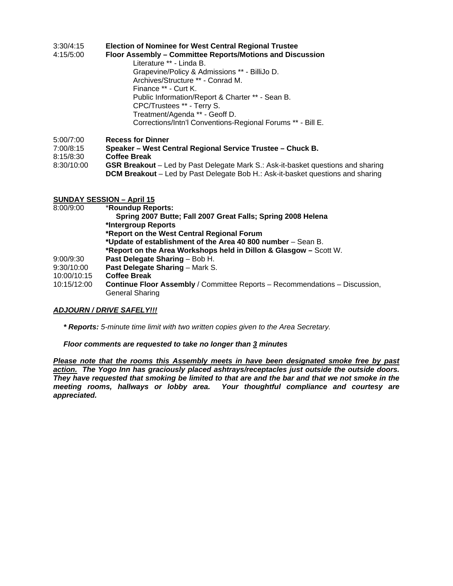### 3:30/4:15 **Election of Nominee for West Central Regional Trustee**

- 4:15/5:00 **Floor Assembly Committee Reports/Motions and Discussion**
- Literature \*\* Linda B. Grapevine/Policy & Admissions \*\* - BilliJo D. Archives/Structure \*\* - Conrad M. Finance \*\* - Curt K. Public Information/Report & Charter \*\* - Sean B. CPC/Trustees \*\* - Terry S. Treatment/Agenda \*\* - Geoff D. Corrections/Intn'l Conventions-Regional Forums \*\* - Bill E.
- 5:00/7:00 **Recess for Dinner**
- 7:00/8:15 **Speaker West Central Regional Service Trustee Chuck B.**
- 8:15/8:30 **Coffee Break**
- 8:30/10:00 **GSR Breakout** Led by Past Delegate Mark S.: Ask-it-basket questions and sharing **DCM Breakout** – Led by Past Delegate Bob H.: Ask-it-basket questions and sharing

### **SUNDAY SESSION – April 15**

| 8:00/9:00   | *Roundup Reports:                                                                  |
|-------------|------------------------------------------------------------------------------------|
|             | Spring 2007 Butte; Fall 2007 Great Falls; Spring 2008 Helena                       |
|             | *Intergroup Reports                                                                |
|             | *Report on the West Central Regional Forum                                         |
|             | *Update of establishment of the Area 40 800 number - Sean B.                       |
|             | *Report on the Area Workshops held in Dillon & Glasgow – Scott W.                  |
| 9:00/9:30   | Past Delegate Sharing - Bob H.                                                     |
| 9:30/10:00  | Past Delegate Sharing - Mark S.                                                    |
| 10:00/10:15 | <b>Coffee Break</b>                                                                |
| 10:15/12:00 | <b>Continue Floor Assembly</b> / Committee Reports - Recommendations - Discussion, |
|             | <b>General Sharing</b>                                                             |

### *ADJOURN / DRIVE SAFELY!!!*

*\* Reports: 5-minute time limit with two written copies given to the Area Secretary.* 

### *Floor comments are requested to take no longer than 3 minutes*

*Please note that the rooms this Assembly meets in have been designated smoke free by past action. The Yogo Inn has graciously placed ashtrays/receptacles just outside the outside doors. They have requested that smoking be limited to that are and the bar and that we not smoke in the meeting rooms, hallways or lobby area. Your thoughtful compliance and courtesy are appreciated.*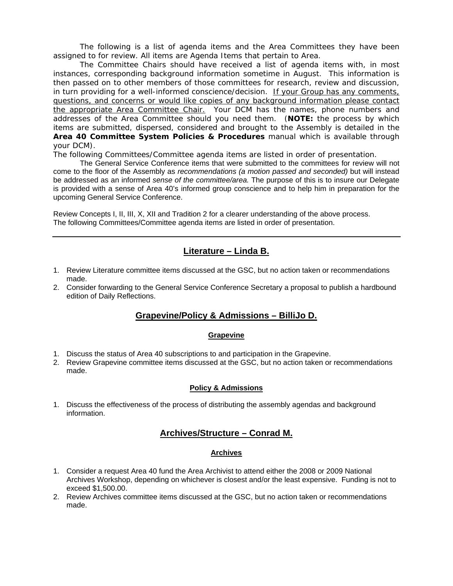The following is a list of agenda items and the Area Committees they have been assigned to for review. All items are Agenda Items that pertain to Area.

The Committee Chairs should have received a list of agenda items with, in most instances, corresponding background information sometime in August. This information is then passed on to other members of those committees for research, review and discussion, in turn providing for a well-informed *conscience/decision.* If your Group has any comments, questions, and concerns or would like copies of any background information please contact the appropriate Area Committee Chair. Your DCM has the names, phone numbers and addresses of the Area Committee should you need them. (**NOTE:** the process by which items are submitted, dispersed, considered and brought to the Assembly is detailed in the *Area 40 Committee System Policies & Procedures* manual which is available through your DCM).

The following Committees/Committee agenda items are listed in order of presentation.

The General Service Conference items that were submitted to the committees for review will not come to the floor of the Assembly as *recommendations (a motion passed and seconded)* but will instead be addressed as an informed *sense of the committee/area.* The purpose of this is to insure our Delegate is provided with a sense of Area 40's informed group conscience and to help him in preparation for the upcoming General Service Conference.

Review Concepts I, II, III, X, XII and Tradition 2 for a clearer understanding of the above process. The following Committees/Committee agenda items are listed in order of presentation.

# **Literature – Linda B.**

- 1. Review Literature committee items discussed at the GSC, but no action taken or recommendations made.
- 2. Consider forwarding to the General Service Conference Secretary a proposal to publish a hardbound edition of Daily Reflections.

# **Grapevine/Policy & Admissions – BilliJo D.**

## **Grapevine**

- 1. Discuss the status of Area 40 subscriptions to and participation in the Grapevine.
- 2. Review Grapevine committee items discussed at the GSC, but no action taken or recommendations made.

## **Policy & Admissions**

1. Discuss the effectiveness of the process of distributing the assembly agendas and background information.

# **Archives/Structure – Conrad M.**

### **Archives**

- 1. Consider a request Area 40 fund the Area Archivist to attend either the 2008 or 2009 National Archives Workshop, depending on whichever is closest and/or the least expensive. Funding is not to exceed \$1,500.00.
- 2. Review Archives committee items discussed at the GSC, but no action taken or recommendations made.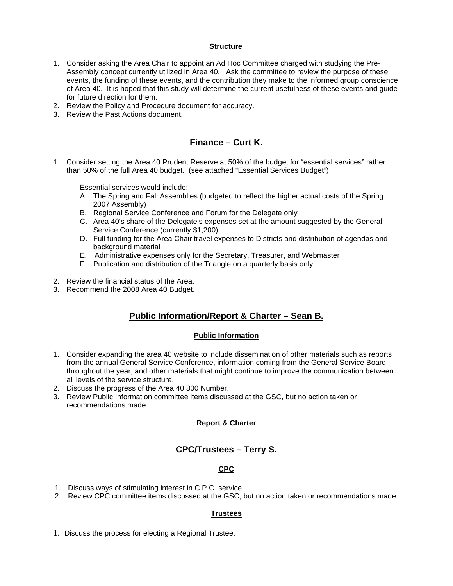### **Structure**

- 1. Consider asking the Area Chair to appoint an Ad Hoc Committee charged with studying the Pre-Assembly concept currently utilized in Area 40. Ask the committee to review the purpose of these events, the funding of these events, and the contribution they make to the informed group conscience of Area 40. It is hoped that this study will determine the current usefulness of these events and guide for future direction for them.
- 2. Review the Policy and Procedure document for accuracy.
- 3. Review the Past Actions document.

# **Finance – Curt K.**

1. Consider setting the Area 40 Prudent Reserve at 50% of the budget for "essential services" rather than 50% of the full Area 40 budget. (see attached "Essential Services Budget")

Essential services would include:

- A. The Spring and Fall Assemblies (budgeted to reflect the higher actual costs of the Spring 2007 Assembly)
- B. Regional Service Conference and Forum for the Delegate only
- C. Area 40's share of the Delegate's expenses set at the amount suggested by the General Service Conference (currently \$1,200)
- D. Full funding for the Area Chair travel expenses to Districts and distribution of agendas and background material
- E. Administrative expenses only for the Secretary, Treasurer, and Webmaster
- F. Publication and distribution of the Triangle on a quarterly basis only
- 2. Review the financial status of the Area.
- 3. Recommend the 2008 Area 40 Budget.

# **Public Information/Report & Charter – Sean B.**

### **Public Information**

- 1. Consider expanding the area 40 website to include dissemination of other materials such as reports from the annual General Service Conference, information coming from the General Service Board throughout the year, and other materials that might continue to improve the communication between all levels of the service structure.
- 2. Discuss the progress of the Area 40 800 Number.
- 3. Review Public Information committee items discussed at the GSC, but no action taken or recommendations made.

### **Report & Charter**

# **CPC/Trustees – Terry S.**

### **CPC**

- 1. Discuss ways of stimulating interest in C.P.C. service.
- 2. Review CPC committee items discussed at the GSC, but no action taken or recommendations made.

### **Trustees**

1. Discuss the process for electing a Regional Trustee.